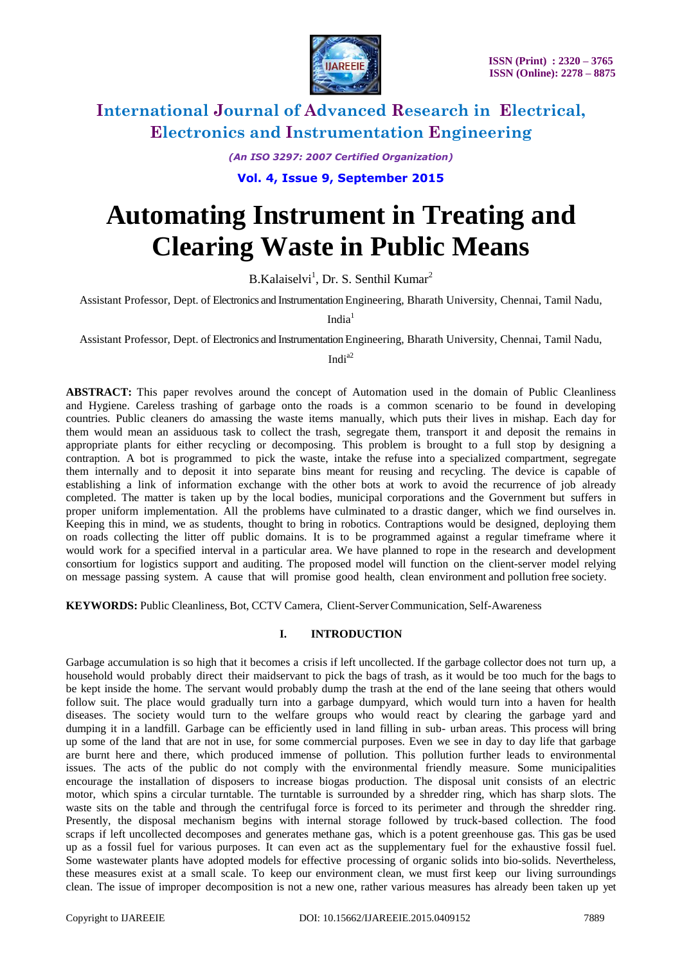

*(An ISO 3297: 2007 Certified Organization)*

**Vol. 4, Issue 9, September 2015**

# **Automating Instrument in Treating and Clearing Waste in Public Means**

B.Kalaiselvi<sup>1</sup>, Dr. S. Senthil Kumar<sup>2</sup>

Assistant Professor, Dept. of Electronics and Instrumentation Engineering, Bharath University, Chennai, Tamil Nadu,

 $India<sup>1</sup>$ 

Assistant Professor, Dept. of Electronics and Instrumentation Engineering, Bharath University, Chennai, Tamil Nadu,

India2

**ABSTRACT:** This paper revolves around the concept of Automation used in the domain of Public Cleanliness and Hygiene. Careless trashing of garbage onto the roads is a common scenario to be found in developing countries. Public cleaners do amassing the waste items manually, which puts their lives in mishap. Each day for them would mean an assiduous task to collect the trash, segregate them, transport it and deposit the remains in appropriate plants for either recycling or decomposing. This problem is brought to a full stop by designing a contraption. A bot is programmed to pick the waste, intake the refuse into a specialized compartment, segregate them internally and to deposit it into separate bins meant for reusing and recycling. The device is capable of establishing a link of information exchange with the other bots at work to avoid the recurrence of job already completed. The matter is taken up by the local bodies, municipal corporations and the Government but suffers in proper uniform implementation. All the problems have culminated to a drastic danger, which we find ourselves in. Keeping this in mind, we as students, thought to bring in robotics. Contraptions would be designed, deploying them on roads collecting the litter off public domains. It is to be programmed against a regular timeframe where it would work for a specified interval in a particular area. We have planned to rope in the research and development consortium for logistics support and auditing. The proposed model will function on the client-server model relying on message passing system. A cause that will promise good health, clean environment and pollution free society.

**KEYWORDS:** Public Cleanliness, Bot, CCTV Camera, Client-ServerCommunication, Self-Awareness

#### **I. INTRODUCTION**

Garbage accumulation is so high that it becomes a crisis if left uncollected. If the garbage collector does not turn up, a household would probably direct their maidservant to pick the bags of trash, as it would be too much for the bags to be kept inside the home. The servant would probably dump the trash at the end of the lane seeing that others would follow suit. The place would gradually turn into a garbage dumpyard, which would turn into a haven for health diseases. The society would turn to the welfare groups who would react by clearing the garbage yard and dumping it in a landfill. Garbage can be efficiently used in land filling in sub- urban areas. This process will bring up some of the land that are not in use, for some commercial purposes. Even we see in day to day life that garbage are burnt here and there, which produced immense of pollution. This pollution further leads to environmental issues. The acts of the public do not comply with the environmental friendly measure. Some municipalities encourage the installation of disposers to increase biogas production. The disposal unit consists of an electric motor, which spins a circular turntable. The turntable is surrounded by a shredder ring, which has sharp slots. The waste sits on the table and through the centrifugal force is forced to its perimeter and through the shredder ring. Presently, the disposal mechanism begins with internal storage followed by truck-based collection. The food scraps if left uncollected decomposes and generates methane gas, which is a potent greenhouse gas. This gas be used up as a fossil fuel for various purposes. It can even act as the supplementary fuel for the exhaustive fossil fuel. Some wastewater plants have adopted models for effective processing of organic solids into bio-solids. Nevertheless, these measures exist at a small scale. To keep our environment clean, we must first keep our living surroundings clean. The issue of improper decomposition is not a new one, rather various measures has already been taken up yet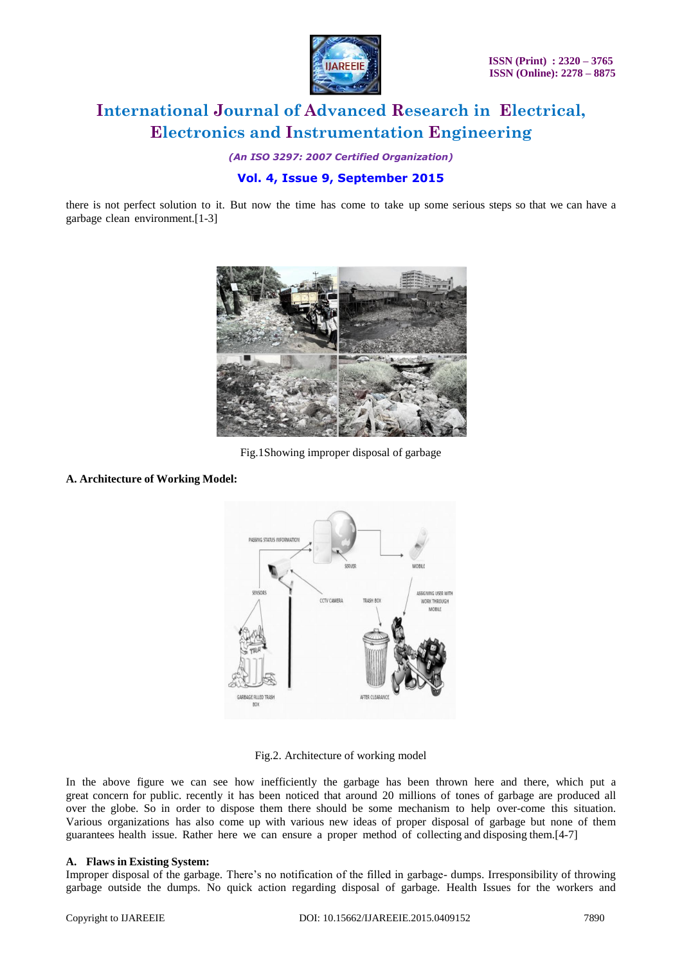

*(An ISO 3297: 2007 Certified Organization)*

### **Vol. 4, Issue 9, September 2015**

there is not perfect solution to it. But now the time has come to take up some serious steps so that we can have a garbage clean environment.[1-3]



Fig.1Showing improper disposal of garbage

#### **A. Architecture of Working Model:**



Fig.2. Architecture of working model

In the above figure we can see how inefficiently the garbage has been thrown here and there, which put a great concern for public. recently it has been noticed that around 20 millions of tones of garbage are produced all over the globe. So in order to dispose them there should be some mechanism to help over-come this situation. Various organizations has also come up with various new ideas of proper disposal of garbage but none of them guarantees health issue. Rather here we can ensure a proper method of collecting and disposing them.[4-7]

#### **A. Flaws in Existing System:**

Improper disposal of the garbage. There's no notification of the filled in garbage- dumps. Irresponsibility of throwing garbage outside the dumps. No quick action regarding disposal of garbage. Health Issues for the workers and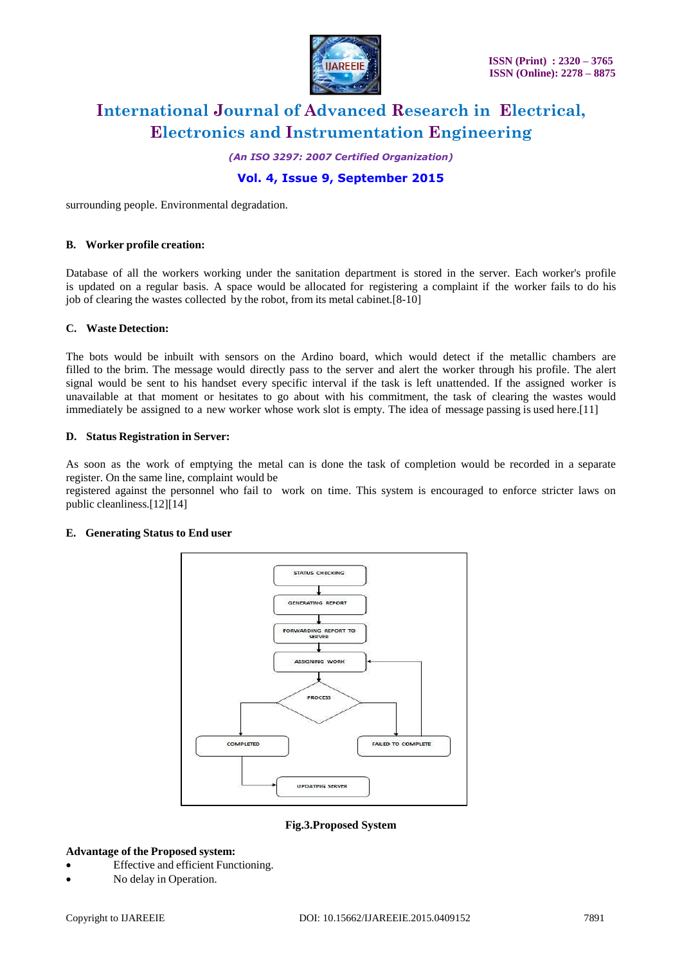

*(An ISO 3297: 2007 Certified Organization)*

### **Vol. 4, Issue 9, September 2015**

surrounding people. Environmental degradation.

#### **B. Worker profile creation:**

Database of all the workers working under the sanitation department is stored in the server. Each worker's profile is updated on a regular basis. A space would be allocated for registering a complaint if the worker fails to do his job of clearing the wastes collected by the robot, from its metal cabinet.[8-10]

#### **C. Waste Detection:**

The bots would be inbuilt with sensors on the Ardino board, which would detect if the metallic chambers are filled to the brim. The message would directly pass to the server and alert the worker through his profile. The alert signal would be sent to his handset every specific interval if the task is left unattended. If the assigned worker is unavailable at that moment or hesitates to go about with his commitment, the task of clearing the wastes would immediately be assigned to a new worker whose work slot is empty. The idea of message passing is used here.[11]

#### **D. Status Registration in Server:**

As soon as the work of emptying the metal can is done the task of completion would be recorded in a separate register. On the same line, complaint would be

registered against the personnel who fail to work on time. This system is encouraged to enforce stricter laws on public cleanliness.[12][14]

#### **E. Generating Status to End user**



**Fig.3.Proposed System**

#### **Advantage of the Proposed system:**

- Effective and efficient Functioning.
- No delay in Operation.